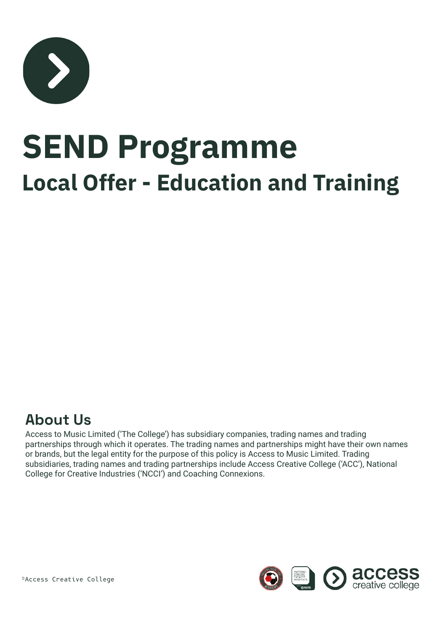

# **SEND Programme Local Offer - Education and Training**

#### **About Us**

Access to Music Limited ('The College') has subsidiary companies, trading names and trading partnerships through which it operates. The trading names and partnerships might have their own names or brands, but the legal entity for the purpose of this policy is Access to Music Limited. Trading subsidiaries, trading names and trading partnerships include Access Creative College ('ACC'), National College for Creative Industries ('NCCI') and Coaching Connexions.



©Access Creative College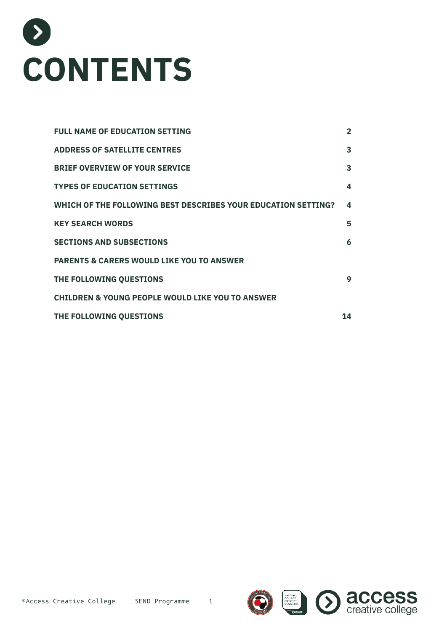

| <b>FULL NAME OF EDUCATION SETTING</b>                         | $\overline{2}$ |
|---------------------------------------------------------------|----------------|
| <b>ADDRESS OF SATELLITE CENTRES</b>                           | 3              |
| <b>BRIEF OVERVIEW OF YOUR SERVICE</b>                         | 3              |
| <b>TYPES OF EDUCATION SETTINGS</b>                            | 4              |
| WHICH OF THE FOLLOWING BEST DESCRIBES YOUR EDUCATION SETTING? | 4              |
| <b>KEY SEARCH WORDS</b>                                       | 5              |
| <b>SECTIONS AND SUBSECTIONS</b>                               | 6              |
| <b>PARENTS &amp; CARERS WOULD LIKE YOU TO ANSWER</b>          |                |
| THE FOLLOWING QUESTIONS                                       | 9              |
| <b>CHILDREN &amp; YOUNG PEOPLE WOULD LIKE YOU TO ANSWER</b>   |                |
| THE FOLLOWING QUESTIONS                                       | 14             |
|                                                               |                |



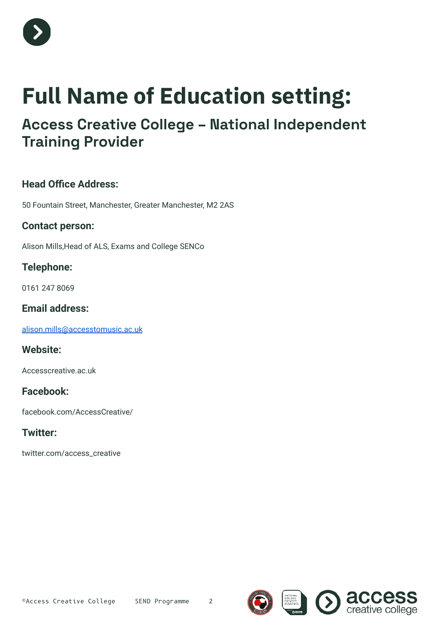

## **Full Name of Education setting:**

### **Access Creative College – National Independent Training Provider**

#### **Head Office Address:**

50 Fountain Street, Manchester, Greater Manchester, M2 2AS

#### **Contact person:**

Alison Mills,Head of ALS, Exams and College SENCo

#### **Telephone:**

0161 247 8069

#### **Email address:**

[alison.mills@accesstomusic.ac.uk](mailto:alison.mills@accesstomusic.ac.uk)

#### **Website:**

Accesscreative.ac.uk

#### **Facebook:**

facebook.com/AccessCreative/

#### **Twitter:**

twitter.com/access\_creative



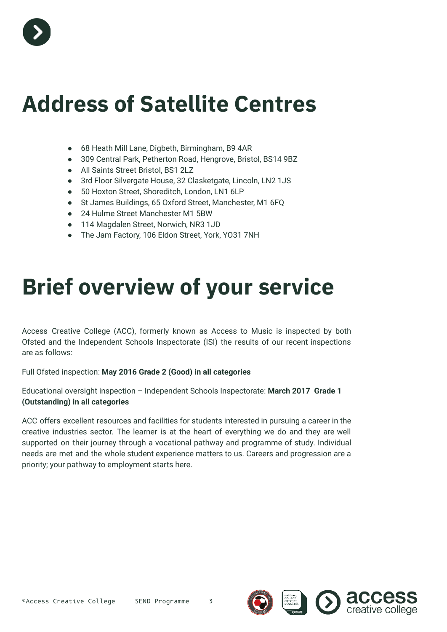

## **Address of Satellite Centres**

- 68 Heath Mill Lane, Digbeth, Birmingham, B9 4AR
- 309 Central Park, Petherton Road, Hengrove, Bristol, BS14 9BZ
- All Saints Street Bristol, BS1 2LZ
- 3rd Floor Silvergate House, 32 Clasketgate, Lincoln, LN2 1JS
- 50 Hoxton Street, Shoreditch, London, LN1 6LP
- St James Buildings, 65 Oxford Street, Manchester, M1 6FQ
- 24 Hulme Street Manchester M1 5BW
- 114 Magdalen Street, Norwich, NR3 1JD
- The Jam Factory, 106 Eldon Street, York, YO31 7NH

## **Brief overview of your service**

Access Creative College (ACC), formerly known as Access to Music is inspected by both Ofsted and the Independent Schools Inspectorate (ISI) the results of our recent inspections are as follows:

#### Full Ofsted inspection: **May 2016 Grade 2 (Good) in all categories**

Educational oversight inspection – Independent Schools Inspectorate: **March 2017 Grade 1 (Outstanding) in all categories**

ACC offers excellent resources and facilities for students interested in pursuing a career in the creative industries sector. The learner is at the heart of everything we do and they are well supported on their journey through a vocational pathway and programme of study. Individual needs are met and the whole student experience matters to us. Careers and progression are a priority; your pathway to employment starts here.

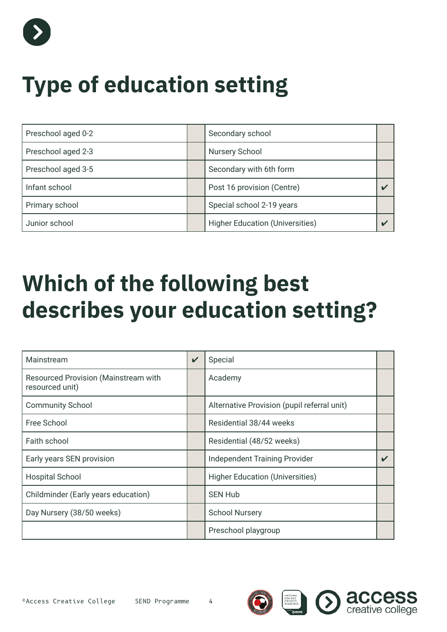

## **Type of education setting**

| Preschool aged 0-2 | Secondary school                       |  |
|--------------------|----------------------------------------|--|
| Preschool aged 2-3 | Nursery School                         |  |
| Preschool aged 3-5 | Secondary with 6th form                |  |
| Infant school      | Post 16 provision (Centre)             |  |
| Primary school     | Special school 2-19 years              |  |
| Junior school      | <b>Higher Education (Universities)</b> |  |

## **Which of the following best describes your education setting?**

| Mainstream                                              | $\checkmark$ | Special                                     |  |
|---------------------------------------------------------|--------------|---------------------------------------------|--|
| Resourced Provision (Mainstream with<br>resourced unit) |              | Academy                                     |  |
| <b>Community School</b>                                 |              | Alternative Provision (pupil referral unit) |  |
| Free School                                             |              | Residential 38/44 weeks                     |  |
| Faith school                                            |              | Residential (48/52 weeks)                   |  |
| Early years SEN provision                               |              | <b>Independent Training Provider</b>        |  |
| <b>Hospital School</b>                                  |              | <b>Higher Education (Universities)</b>      |  |
| Childminder (Early years education)                     |              | <b>SEN Hub</b>                              |  |
| Day Nursery (38/50 weeks)                               |              | <b>School Nursery</b>                       |  |
|                                                         |              | Preschool playgroup                         |  |

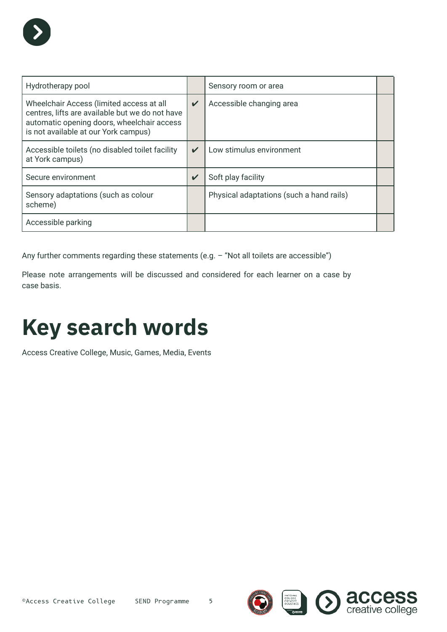| Hydrotherapy pool                                                                                                                                                                 |                    | Sensory room or area                     |  |
|-----------------------------------------------------------------------------------------------------------------------------------------------------------------------------------|--------------------|------------------------------------------|--|
| Wheelchair Access (limited access at all<br>centres, lifts are available but we do not have<br>automatic opening doors, wheelchair access<br>is not available at our York campus) | $\boldsymbol{\nu}$ | Accessible changing area                 |  |
| Accessible toilets (no disabled toilet facility<br>at York campus)                                                                                                                | $\boldsymbol{\nu}$ | Low stimulus environment                 |  |
| Secure environment                                                                                                                                                                | $\boldsymbol{\nu}$ | Soft play facility                       |  |
| Sensory adaptations (such as colour<br>scheme)                                                                                                                                    |                    | Physical adaptations (such a hand rails) |  |
| Accessible parking                                                                                                                                                                |                    |                                          |  |

Any further comments regarding these statements (e.g. - "Not all toilets are accessible")

Please note arrangements will be discussed and considered for each learner on a case by case basis.

## **Key search words**

Access Creative College, Music, Games, Media, Events



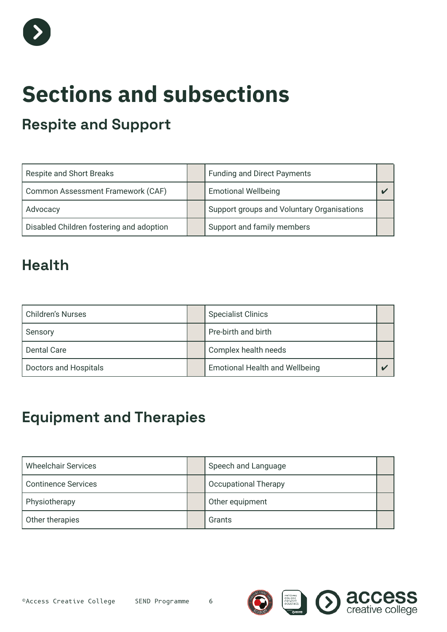

## **Sections and subsections**

### **Respite and Support**

| Respite and Short Breaks                 | <b>Funding and Direct Payments</b>         |  |
|------------------------------------------|--------------------------------------------|--|
| Common Assessment Framework (CAF)        | <b>Emotional Wellbeing</b>                 |  |
| Advocacy                                 | Support groups and Voluntary Organisations |  |
| Disabled Children fostering and adoption | Support and family members                 |  |

### **Health**

| <b>Children's Nurses</b> | <b>Specialist Clinics</b>             |  |
|--------------------------|---------------------------------------|--|
| Sensory                  | Pre-birth and birth                   |  |
| <b>Dental Care</b>       | Complex health needs                  |  |
| Doctors and Hospitals    | <b>Emotional Health and Wellbeing</b> |  |

## **Equipment and Therapies**

| <b>Wheelchair Services</b> | Speech and Language         |  |
|----------------------------|-----------------------------|--|
| <b>Continence Services</b> | <b>Occupational Therapy</b> |  |
| Physiotherapy              | Other equipment             |  |
| Other therapies            | Grants                      |  |

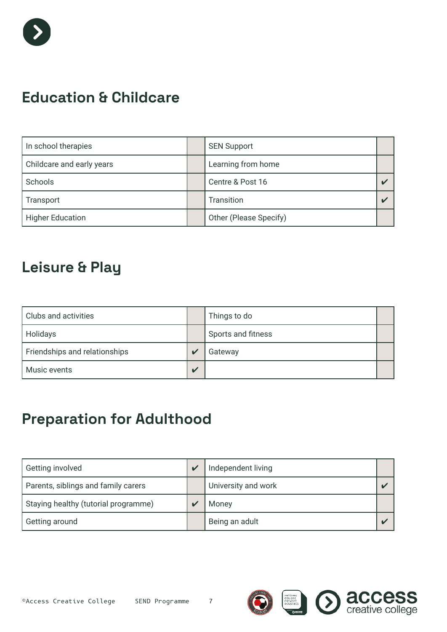

### **Education & Childcare**

| In school therapies       | <b>SEN Support</b>     |  |
|---------------------------|------------------------|--|
| Childcare and early years | Learning from home     |  |
| Schools                   | Centre & Post 16       |  |
| Transport                 | Transition             |  |
| <b>Higher Education</b>   | Other (Please Specify) |  |

### **Leisure & Play**

| Clubs and activities          |                         | Things to do       |  |
|-------------------------------|-------------------------|--------------------|--|
| Holidays                      |                         | Sports and fitness |  |
| Friendships and relationships | $\overline{\mathbf{v}}$ | Gateway            |  |
| Music events                  | $\mathbf v$             |                    |  |

## **Preparation for Adulthood**

| Getting involved                     | $\overline{\nu}$ | Independent living  |  |
|--------------------------------------|------------------|---------------------|--|
| Parents, siblings and family carers  |                  | University and work |  |
| Staying healthy (tutorial programme) |                  | Money               |  |
| Getting around                       |                  | Being an adult      |  |

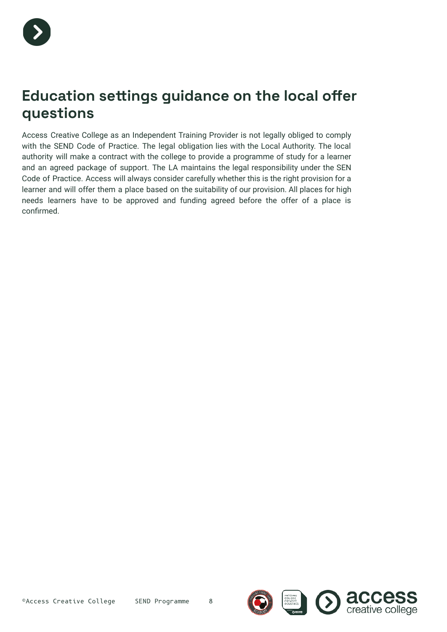

#### **Education settings guidance on the local offer questions**

Access Creative College as an Independent Training Provider is not legally obliged to comply with the SEND Code of Practice. The legal obligation lies with the Local Authority. The local authority will make a contract with the college to provide a programme of study for a learner and an agreed package of support. The LA maintains the legal responsibility under the SEN Code of Practice. Access will always consider carefully whether this is the right provision for a learner and will offer them a place based on the suitability of our provision. All places for high needs learners have to be approved and funding agreed before the offer of a place is confirmed.



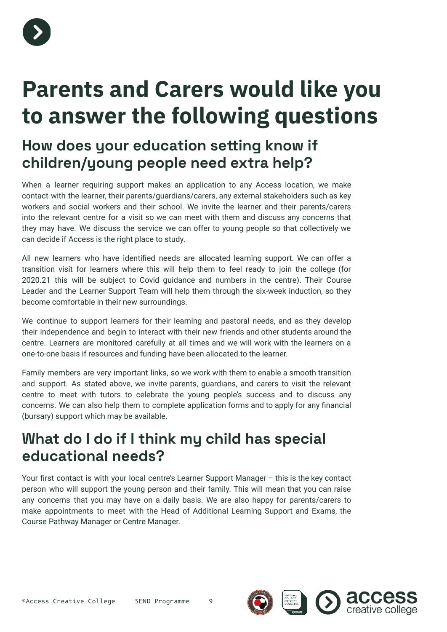

## **Parents and Carers would like you to answer the following questions**

#### **How does your education setting know if children/young people need extra help?**

When a learner requiring support makes an application to any Access location, we make contact with the learner, their parents/guardians/carers, any external stakeholders such as key workers and social workers and their school. We invite the learner and their parents/carers into the relevant centre for a visit so we can meet with them and discuss any concerns that they may have. We discuss the service we can offer to young people so that collectively we can decide if Access is the right place to study.

All new learners who have identified needs are allocated learning support. We can offer a transition visit for learners where this will help them to feel ready to join the college (for 2020.21 this will be subject to Covid guidance and numbers in the centre). Their Course Leader and the Learner Support Team will help them through the six-week induction, so they become comfortable in their new surroundings.

We continue to support learners for their learning and pastoral needs, and as they develop their independence and begin to interact with their new friends and other students around the centre. Learners are monitored carefully at all times and we will work with the learners on a one-to-one basis if resources and funding have been allocated to the learner.

Family members are very important links, so we work with them to enable a smooth transition and support. As stated above, we invite parents, guardians, and carers to visit the relevant centre to meet with tutors to celebrate the young people's success and to discuss any concerns. We can also help them to complete application forms and to apply for any financial (bursary) support which may be available.

#### **What do I do if I think my child has special educational needs?**

Your first contact is with your local centre's Learner Support Manager – this is the key contact person who will support the young person and their family. This will mean that you can raise any concerns that you may have on a daily basis. We are also happy for parents/carers to make appointments to meet with the Head of Additional Learning Support and Exams, the Course Pathway Manager or Centre Manager.

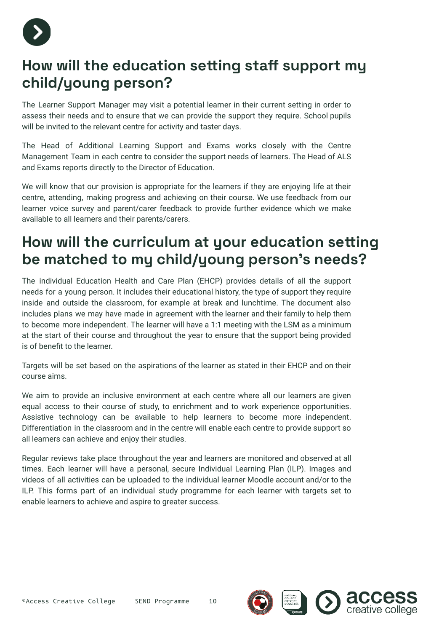

#### **How will the education setting staff support my child/young person?**

The Learner Support Manager may visit a potential learner in their current setting in order to assess their needs and to ensure that we can provide the support they require. School pupils will be invited to the relevant centre for activity and taster days.

The Head of Additional Learning Support and Exams works closely with the Centre Management Team in each centre to consider the support needs of learners. The Head of ALS and Exams reports directly to the Director of Education.

We will know that our provision is appropriate for the learners if they are enjoying life at their centre, attending, making progress and achieving on their course. We use feedback from our learner voice survey and parent/carer feedback to provide further evidence which we make available to all learners and their parents/carers.

#### **How will the curriculum at your education setting be matched to my child/young person's needs?**

The individual Education Health and Care Plan (EHCP) provides details of all the support needs for a young person. It includes their educational history, the type of support they require inside and outside the classroom, for example at break and lunchtime. The document also includes plans we may have made in agreement with the learner and their family to help them to become more independent. The learner will have a 1:1 meeting with the LSM as a minimum at the start of their course and throughout the year to ensure that the support being provided is of benefit to the learner.

Targets will be set based on the aspirations of the learner as stated in their EHCP and on their course aims.

We aim to provide an inclusive environment at each centre where all our learners are given equal access to their course of study, to enrichment and to work experience opportunities. Assistive technology can be available to help learners to become more independent. Differentiation in the classroom and in the centre will enable each centre to provide support so all learners can achieve and enjoy their studies.

Regular reviews take place throughout the year and learners are monitored and observed at all times. Each learner will have a personal, secure Individual Learning Plan (ILP). Images and videos of all activities can be uploaded to the individual learner Moodle account and/or to the ILP. This forms part of an individual study programme for each learner with targets set to enable learners to achieve and aspire to greater success.

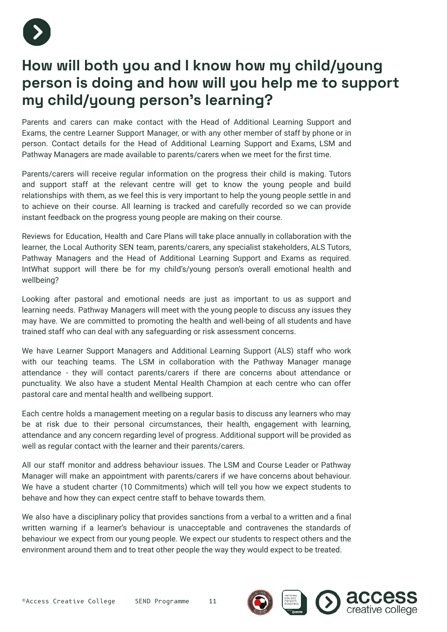

### **How will both you and I know how my child/young person is doing and how will you help me to support my child/young person's learning?**

Parents and carers can make contact with the Head of Additional Learning Support and Exams, the centre Learner Support Manager, or with any other member of staff by phone or in person. Contact details for the Head of Additional Learning Support and Exams, LSM and Pathway Managers are made available to parents/carers when we meet for the first time.

Parents/carers will receive regular information on the progress their child is making. Tutors and support staff at the relevant centre will get to know the young people and build relationships with them, as we feel this is very important to help the young people settle in and to achieve on their course. All learning is tracked and carefully recorded so we can provide instant feedback on the progress young people are making on their course.

Reviews for Education, Health and Care Plans will take place annually in collaboration with the learner, the Local Authority SEN team, parents/carers, any specialist stakeholders, ALS Tutors, Pathway Managers and the Head of Additional Learning Support and Exams as required. IntWhat support will there be for my child's/young person's overall emotional health and wellbeing?

Looking after pastoral and emotional needs are just as important to us as support and learning needs. Pathway Managers will meet with the young people to discuss any issues they may have. We are committed to promoting the health and well-being of all students and have trained staff who can deal with any safeguarding or risk assessment concerns.

We have Learner Support Managers and Additional Learning Support (ALS) staff who work with our teaching teams. The LSM in collaboration with the Pathway Manager manage attendance - they will contact parents/carers if there are concerns about attendance or punctuality. We also have a student Mental Health Champion at each centre who can offer pastoral care and mental health and wellbeing support.

Each centre holds a management meeting on a regular basis to discuss any learners who may be at risk due to their personal circumstances, their health, engagement with learning, attendance and any concern regarding level of progress. Additional support will be provided as well as regular contact with the learner and their parents/carers.

All our staff monitor and address behaviour issues. The LSM and Course Leader or Pathway Manager will make an appointment with parents/carers if we have concerns about behaviour. We have a student charter (10 Commitments) which will tell you how we expect students to behave and how they can expect centre staff to behave towards them.

We also have a disciplinary policy that provides sanctions from a verbal to a written and a final written warning if a learner's behaviour is unacceptable and contravenes the standards of behaviour we expect from our young people. We expect our students to respect others and the environment around them and to treat other people the way they would expect to be treated.

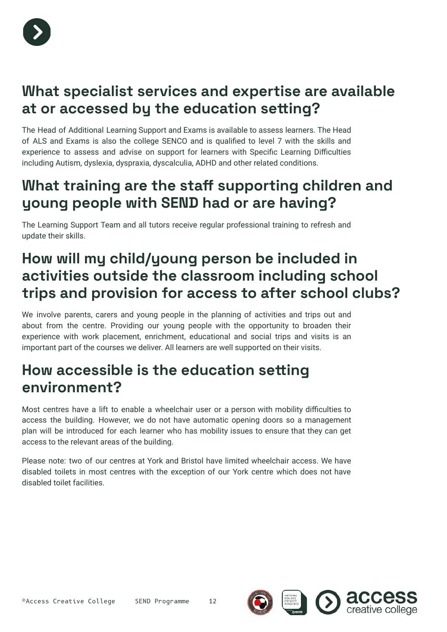

#### **What specialist services and expertise are available at or accessed by the education setting?**

The Head of Additional Learning Support and Exams is available to assess learners. The Head of ALS and Exams is also the college SENCO and is qualified to level 7 with the skills and experience to assess and advise on support for learners with Specific Learning Difficulties including Autism, dyslexia, dyspraxia, dyscalculia, ADHD and other related conditions.

#### **What training are the staff supporting children and young people with SEND had or are having?**

The Learning Support Team and all tutors receive regular professional training to refresh and update their skills.

### **How will my child/young person be included in activities outside the classroom including school trips and provision for access to after school clubs?**

We involve parents, carers and young people in the planning of activities and trips out and about from the centre. Providing our young people with the opportunity to broaden their experience with work placement, enrichment, educational and social trips and visits is an important part of the courses we deliver. All learners are well supported on their visits.

#### **How accessible is the education setting environment?**

Most centres have a lift to enable a wheelchair user or a person with mobility difficulties to access the building. However, we do not have automatic opening doors so a management plan will be introduced for each learner who has mobility issues to ensure that they can get access to the relevant areas of the building.

Please note: two of our centres at York and Bristol have limited wheelchair access. We have disabled toilets in most centres with the exception of our York centre which does not have disabled toilet facilities.

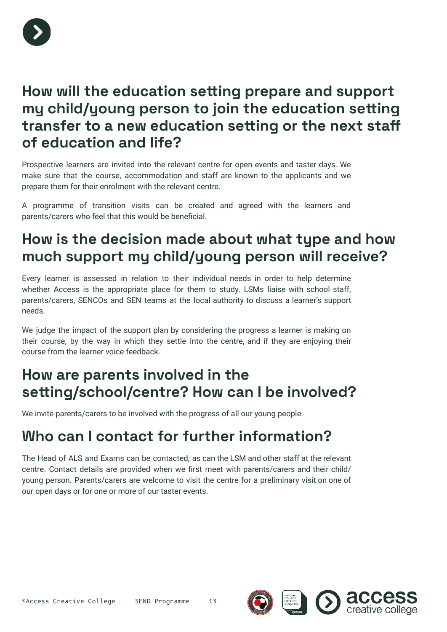

#### **How will the education setting prepare and support my child/young person to join the education setting transfer to a new education setting or the next staff of education and life?**

Prospective learners are invited into the relevant centre for open events and taster days. We make sure that the course, accommodation and staff are known to the applicants and we prepare them for their enrolment with the relevant centre.

A programme of transition visits can be created and agreed with the learners and parents/carers who feel that this would be beneficial.

### **How is the decision made about what type and how much support my child/young person will receive?**

Every learner is assessed in relation to their individual needs in order to help determine whether Access is the appropriate place for them to study. LSMs liaise with school staff, parents/carers, SENCOs and SEN teams at the local authority to discuss a learner's support needs.

We judge the impact of the support plan by considering the progress a learner is making on their course, by the way in which they settle into the centre, and if they are enjoying their course from the learner voice feedback.

### **How are parents involved in the setting/school/centre? How can I be involved?**

We invite parents/carers to be involved with the progress of all our young people.

### **Who can I contact for further information?**

The Head of ALS and Exams can be contacted, as can the LSM and other staff at the relevant centre. Contact details are provided when we first meet with parents/carers and their child/ young person. Parents/carers are welcome to visit the centre for a preliminary visit on one of our open days or for one or more of our taster events.

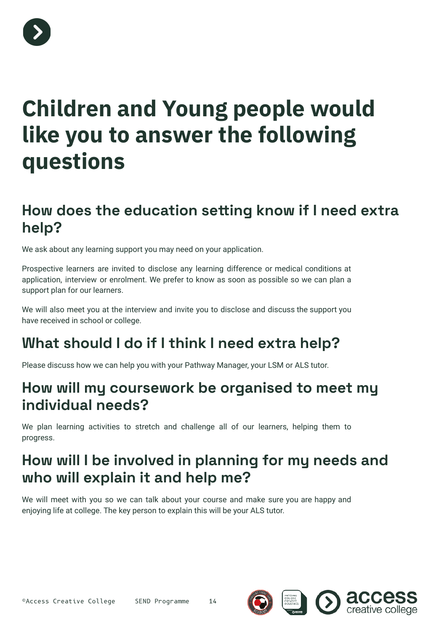

## **Children and Young people would like you to answer the following questions**

#### **How does the education setting know if I need extra help?**

We ask about any learning support you may need on your application.

Prospective learners are invited to disclose any learning difference or medical conditions at application, interview or enrolment. We prefer to know as soon as possible so we can plan a support plan for our learners.

We will also meet you at the interview and invite you to disclose and discuss the support you have received in school or college.

## **What should I do if I think I need extra help?**

Please discuss how we can help you with your Pathway Manager, your LSM or ALS tutor.

#### **How will my coursework be organised to meet my individual needs?**

We plan learning activities to stretch and challenge all of our learners, helping them to progress.

### **How will I be involved in planning for my needs and who will explain it and help me?**

We will meet with you so we can talk about your course and make sure you are happy and enjoying life at college. The key person to explain this will be your ALS tutor.

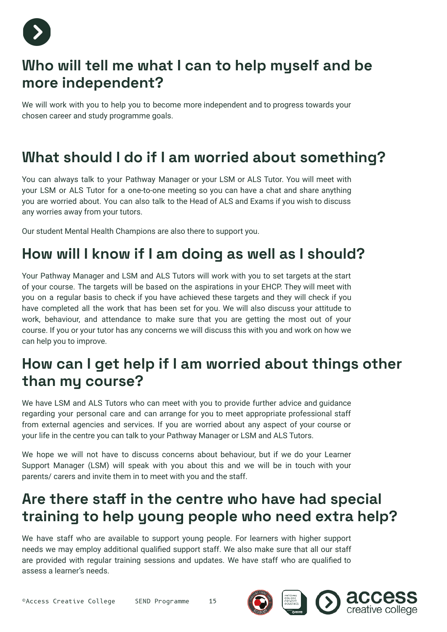

#### **Who will tell me what I can to help myself and be more independent?**

We will work with you to help you to become more independent and to progress towards your chosen career and study programme goals.

### **What should I do if I am worried about something?**

You can always talk to your Pathway Manager or your LSM or ALS Tutor. You will meet with your LSM or ALS Tutor for a one-to-one meeting so you can have a chat and share anything you are worried about. You can also talk to the Head of ALS and Exams if you wish to discuss any worries away from your tutors.

Our student Mental Health Champions are also there to support you.

#### **How will I know if I am doing as well as I should?**

Your Pathway Manager and LSM and ALS Tutors will work with you to set targets at the start of your course. The targets will be based on the aspirations in your EHCP. They will meet with you on a regular basis to check if you have achieved these targets and they will check if you have completed all the work that has been set for you. We will also discuss your attitude to work, behaviour, and attendance to make sure that you are getting the most out of your course. If you or your tutor has any concerns we will discuss this with you and work on how we can help you to improve.

### **How can I get help if I am worried about things other than my course?**

We have LSM and ALS Tutors who can meet with you to provide further advice and guidance regarding your personal care and can arrange for you to meet appropriate professional staff from external agencies and services. If you are worried about any aspect of your course or your life in the centre you can talk to your Pathway Manager or LSM and ALS Tutors.

We hope we will not have to discuss concerns about behaviour, but if we do your Learner Support Manager (LSM) will speak with you about this and we will be in touch with your parents/ carers and invite them in to meet with you and the staff.

### **Are there staff in the centre who have had special training to help young people who need extra help?**

We have staff who are available to support young people. For learners with higher support needs we may employ additional qualified support staff. We also make sure that all our staff are provided with regular training sessions and updates. We have staff who are qualified to assess a learner's needs.